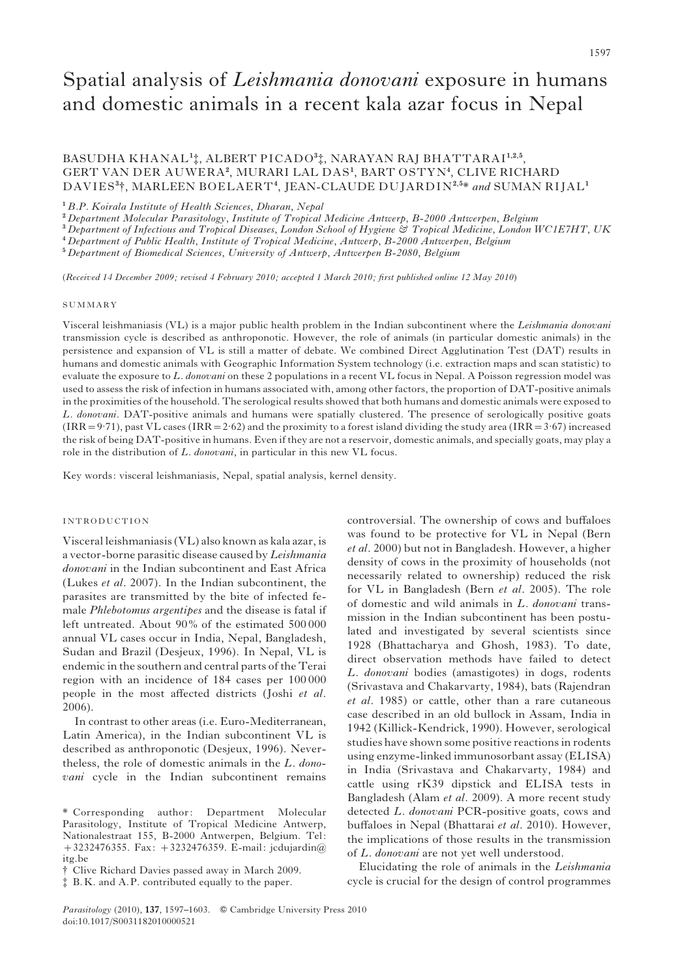# Spatial analysis of Leishmania donovani exposure in humans and domestic animals in a recent kala azar focus in Nepal

BASUDHA KHANAL<sup>1</sup>‡, ALBERT PICADO<sup>3</sup>‡, NARAYAN RAJ BHATTARAI<sup>1,2,5</sup>, GERT VAN DER AUWERA<sup>2</sup>, MURARI LAL DAS<sup>1</sup>, BART OSTYN<sup>4</sup>, CLIVE RICHARD DAVIES<sup>3</sup>†, MARLEEN BOELAERT<sup>4</sup>, JEAN-CLAUDE DUJARDIN<sup>2,5\*</sup> and SUMAN RIJAL<sup>1</sup>

<sup>1</sup> B.P. Koirala Institute of Health Sciences, Dharan, Nepal

<sup>2</sup> Department Molecular Parasitology, Institute of Tropical Medicine Antwerp, B-2000 Antwerpen, Belgium

<sup>3</sup> Department of Infectious and Tropical Diseases, London School of Hygiene & Tropical Medicine, London WC1E7HT, UK

<sup>4</sup> Department of Public Health, Institute of Tropical Medicine, Antwerp, B-2000 Antwerpen, Belgium

<sup>5</sup> Department of Biomedical Sciences, University of Antwerp, Antwerpen B-2080, Belgium

(Received 14 December 2009; revised 4 February 2010; accepted 1 March 2010; first published online 12 May 2010)

#### SUMMARY

Visceral leishmaniasis (VL) is a major public health problem in the Indian subcontinent where the Leishmania donovani transmission cycle is described as anthroponotic. However, the role of animals (in particular domestic animals) in the persistence and expansion of VL is still a matter of debate. We combined Direct Agglutination Test (DAT) results in humans and domestic animals with Geographic Information System technology (i.e. extraction maps and scan statistic) to evaluate the exposure to L. donovani on these 2 populations in a recent VL focus in Nepal. A Poisson regression model was used to assess the risk of infection in humans associated with, among other factors, the proportion of DAT-positive animals in the proximities of the household. The serological results showed that both humans and domestic animals were exposed to L. donovani. DAT-positive animals and humans were spatially clustered. The presence of serologically positive goats  $(IRR = 9.71)$ , past  $\overline{VL}$  cases  $(IRR = 2.62)$  and the proximity to a forest island dividing the study area  $(IRR = 3.67)$  increased the risk of being DAT-positive in humans. Even if they are not a reservoir, domestic animals, and specially goats, may play a role in the distribution of L. donovani, in particular in this new VL focus.

Key words: visceral leishmaniasis, Nepal, spatial analysis, kernel density.

## INTRODUCTION

Visceral leishmaniasis (VL) also known as kala azar, is a vector-borne parasitic disease caused by Leishmania donovani in the Indian subcontinent and East Africa (Lukes et al. 2007). In the Indian subcontinent, the parasites are transmitted by the bite of infected female Phlebotomus argentipes and the disease is fatal if left untreated. About 90% of the estimated 500 000 annual VL cases occur in India, Nepal, Bangladesh, Sudan and Brazil (Desjeux, 1996). In Nepal, VL is endemic in the southern and central parts of the Terai region with an incidence of 184 cases per 100 000 people in the most affected districts (Joshi et al. 2006).

In contrast to other areas (i.e. Euro-Mediterranean, Latin America), in the Indian subcontinent VL is described as anthroponotic (Desjeux, 1996). Nevertheless, the role of domestic animals in the L. donovani cycle in the Indian subcontinent remains

controversial. The ownership of cows and buffaloes was found to be protective for VL in Nepal (Bern et al. 2000) but not in Bangladesh. However, a higher density of cows in the proximity of households (not necessarily related to ownership) reduced the risk for VL in Bangladesh (Bern et al. 2005). The role of domestic and wild animals in L. donovani transmission in the Indian subcontinent has been postulated and investigated by several scientists since 1928 (Bhattacharya and Ghosh, 1983). To date, direct observation methods have failed to detect L. donovani bodies (amastigotes) in dogs, rodents (Srivastava and Chakarvarty, 1984), bats (Rajendran et al. 1985) or cattle, other than a rare cutaneous case described in an old bullock in Assam, India in 1942 (Killick-Kendrick, 1990). However, serological studies have shown some positive reactions in rodents using enzyme-linked immunosorbant assay (ELISA) in India (Srivastava and Chakarvarty, 1984) and cattle using rK39 dipstick and ELISA tests in Bangladesh (Alam et al. 2009). A more recent study detected L. donovani PCR-positive goats, cows and buffaloes in Nepal (Bhattarai et al. 2010). However, the implications of those results in the transmission of L. donovani are not yet well understood.

Elucidating the role of animals in the Leishmania cycle is crucial for the design of control programmes

<sup>\*</sup> Corresponding author: Department Molecular Parasitology, Institute of Tropical Medicine Antwerp, Nationalestraat 155, B-2000 Antwerpen, Belgium. Tel: +3232476355. Fax: +3232476359. E-mail: jcdujardin@ itg.be

<sup>#</sup> Clive Richard Davies passed away in March 2009.

 $\ddagger$  B.K. and A.P. contributed equally to the paper.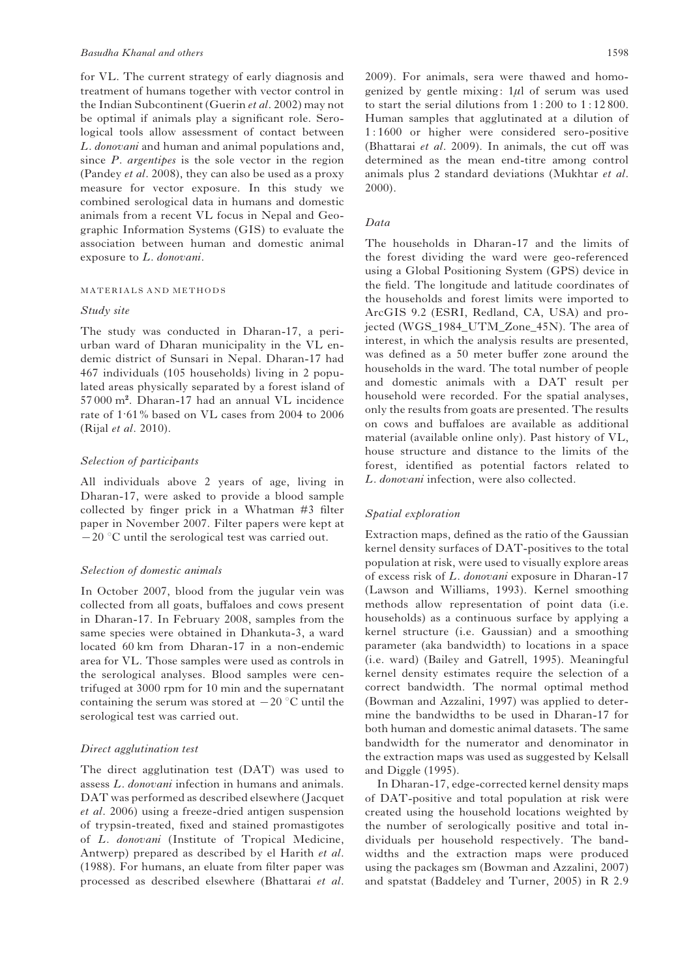for VL. The current strategy of early diagnosis and treatment of humans together with vector control in the Indian Subcontinent (Guerin et al. 2002) may not be optimal if animals play a significant role. Serological tools allow assessment of contact between L. donovani and human and animal populations and, since  $P$ , argentipes is the sole vector in the region (Pandey et al. 2008), they can also be used as a proxy measure for vector exposure. In this study we combined serological data in humans and domestic animals from a recent VL focus in Nepal and Geographic Information Systems (GIS) to evaluate the association between human and domestic animal exposure to L. donovani.

#### MATERIALS AND METHODS

#### Study site

The study was conducted in Dharan-17, a periurban ward of Dharan municipality in the VL endemic district of Sunsari in Nepal. Dharan-17 had 467 individuals (105 households) living in 2 populated areas physically separated by a forest island of 57 000 m<sup>2</sup> . Dharan-17 had an annual VL incidence rate of 1.61% based on VL cases from 2004 to 2006 (Rijal et al. 2010).

## Selection of participants

All individuals above 2 years of age, living in Dharan-17, were asked to provide a blood sample collected by finger prick in a Whatman #3 filter paper in November 2007. Filter papers were kept at  $-20$  °C until the serological test was carried out.

## Selection of domestic animals

In October 2007, blood from the jugular vein was collected from all goats, buffaloes and cows present in Dharan-17. In February 2008, samples from the same species were obtained in Dhankuta-3, a ward located 60 km from Dharan-17 in a non-endemic area for VL. Those samples were used as controls in the serological analyses. Blood samples were centrifuged at 3000 rpm for 10 min and the supernatant containing the serum was stored at  $-20$  °C until the serological test was carried out.

#### Direct agglutination test

The direct agglutination test (DAT) was used to assess L. donovani infection in humans and animals. DAT was performed as described elsewhere (Jacquet et al. 2006) using a freeze-dried antigen suspension of trypsin-treated, fixed and stained promastigotes of L. donovani (Institute of Tropical Medicine, Antwerp) prepared as described by el Harith et al. (1988). For humans, an eluate from filter paper was processed as described elsewhere (Bhattarai et al.

2009). For animals, sera were thawed and homogenized by gentle mixing: 1*m*l of serum was used to start the serial dilutions from 1 : 200 to 1 : 12 800. Human samples that agglutinated at a dilution of 1 : 1600 or higher were considered sero-positive (Bhattarai et al. 2009). In animals, the cut off was determined as the mean end-titre among control animals plus 2 standard deviations (Mukhtar et al. 2000).

# Data

The households in Dharan-17 and the limits of the forest dividing the ward were geo-referenced using a Global Positioning System (GPS) device in the field. The longitude and latitude coordinates of the households and forest limits were imported to ArcGIS 9.2 (ESRI, Redland, CA, USA) and projected (WGS\_1984\_UTM\_Zone\_45N). The area of interest, in which the analysis results are presented, was defined as a 50 meter buffer zone around the households in the ward. The total number of people and domestic animals with a DAT result per household were recorded. For the spatial analyses, only the results from goats are presented. The results on cows and buffaloes are available as additional material (available online only). Past history of VL, house structure and distance to the limits of the forest, identified as potential factors related to L. donovani infection, were also collected.

## Spatial exploration

Extraction maps, defined as the ratio of the Gaussian kernel density surfaces of DAT-positives to the total population at risk, were used to visually explore areas of excess risk of L. donovani exposure in Dharan-17 (Lawson and Williams, 1993). Kernel smoothing methods allow representation of point data (i.e. households) as a continuous surface by applying a kernel structure (i.e. Gaussian) and a smoothing parameter (aka bandwidth) to locations in a space (i.e. ward) (Bailey and Gatrell, 1995). Meaningful kernel density estimates require the selection of a correct bandwidth. The normal optimal method (Bowman and Azzalini, 1997) was applied to determine the bandwidths to be used in Dharan-17 for both human and domestic animal datasets. The same bandwidth for the numerator and denominator in the extraction maps was used as suggested by Kelsall and Diggle (1995).

In Dharan-17, edge-corrected kernel density maps of DAT-positive and total population at risk were created using the household locations weighted by the number of serologically positive and total individuals per household respectively. The bandwidths and the extraction maps were produced using the packages sm (Bowman and Azzalini, 2007) and spatstat (Baddeley and Turner, 2005) in R 2.9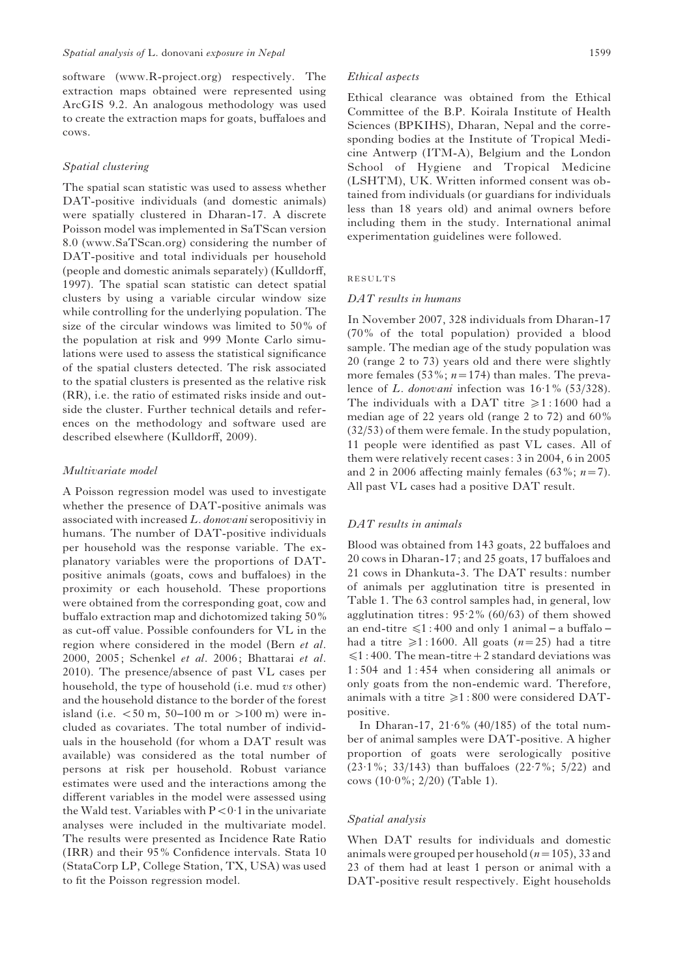software (www.R-project.org) respectively. The extraction maps obtained were represented using ArcGIS 9.2. An analogous methodology was used to create the extraction maps for goats, buffaloes and cows.

#### Spatial clustering

The spatial scan statistic was used to assess whether DAT-positive individuals (and domestic animals) were spatially clustered in Dharan-17. A discrete Poisson model was implemented in SaTScan version 8.0 (www.SaTScan.org) considering the number of DAT-positive and total individuals per household (people and domestic animals separately) (Kulldorff, 1997). The spatial scan statistic can detect spatial clusters by using a variable circular window size while controlling for the underlying population. The size of the circular windows was limited to 50% of the population at risk and 999 Monte Carlo simulations were used to assess the statistical significance of the spatial clusters detected. The risk associated to the spatial clusters is presented as the relative risk (RR), i.e. the ratio of estimated risks inside and outside the cluster. Further technical details and references on the methodology and software used are described elsewhere (Kulldorff, 2009).

#### Multivariate model

A Poisson regression model was used to investigate whether the presence of DAT-positive animals was associated with increased L. donovani seropositiviy in humans. The number of DAT-positive individuals per household was the response variable. The explanatory variables were the proportions of DATpositive animals (goats, cows and buffaloes) in the proximity or each household. These proportions were obtained from the corresponding goat, cow and buffalo extraction map and dichotomized taking 50% as cut-off value. Possible confounders for VL in the region where considered in the model (Bern et al. 2000, 2005; Schenkel et al. 2006; Bhattarai et al. 2010). The presence/absence of past VL cases per household, the type of household (i.e. mud vs other) and the household distance to the border of the forest island (i.e.  $< 50 \text{ m}$ , 50–100 m or  $> 100 \text{ m}$ ) were included as covariates. The total number of individuals in the household (for whom a DAT result was available) was considered as the total number of persons at risk per household. Robust variance estimates were used and the interactions among the different variables in the model were assessed using the Wald test. Variables with  $P < 0.1$  in the univariate analyses were included in the multivariate model. The results were presented as Incidence Rate Ratio (IRR) and their 95% Confidence intervals. Stata 10 (StataCorp LP, College Station, TX, USA) was used to fit the Poisson regression model.

#### Ethical aspects

Ethical clearance was obtained from the Ethical Committee of the B.P. Koirala Institute of Health Sciences (BPKIHS), Dharan, Nepal and the corresponding bodies at the Institute of Tropical Medicine Antwerp (ITM-A), Belgium and the London School of Hygiene and Tropical Medicine (LSHTM), UK. Written informed consent was obtained from individuals (or guardians for individuals less than 18 years old) and animal owners before including them in the study. International animal experimentation guidelines were followed.

## RESULTS

## DAT results in humans

In November 2007, 328 individuals from Dharan-17 (70% of the total population) provided a blood sample. The median age of the study population was 20 (range 2 to 73) years old and there were slightly more females (53%;  $n=174$ ) than males. The prevalence of L. donovani infection was  $16·1%$  (53/328). The individuals with a DAT titre  $\ge 1$ : 1600 had a median age of 22 years old (range 2 to 72) and 60% (32/53) of them were female. In the study population, 11 people were identified as past VL cases. All of them were relatively recent cases: 3 in 2004, 6 in 2005 and 2 in 2006 affecting mainly females (63%;  $n=7$ ). All past VL cases had a positive DAT result.

#### DAT results in animals

Blood was obtained from 143 goats, 22 buffaloes and 20 cows in Dharan-17; and 25 goats, 17 buffaloes and 21 cows in Dhankuta-3. The DAT results: number of animals per agglutination titre is presented in Table 1. The 63 control samples had, in general, low agglutination titres: 95. 2% (60/63) of them showed an end-titre  $\leq 1$ : 400 and only 1 animal – a buffalo – had a titre  $\geq 1$ : 1600. All goats (n=25) had a titre  $\leq 1$ : 400. The mean-titre + 2 standard deviations was 1 : 504 and 1 : 454 when considering all animals or only goats from the non-endemic ward. Therefore, animals with a titre  $\geq 1$  : 800 were considered DATpositive.

In Dharan-17,  $21.6\%$  (40/185) of the total number of animal samples were DAT-positive. A higher proportion of goats were serologically positive (23. 1%; 33/143) than buffaloes (22. 7%; 5/22) and cows (10. 0%; 2/20) (Table 1).

#### Spatial analysis

When DAT results for individuals and domestic animals were grouped per household  $(n=105)$ , 33 and 23 of them had at least 1 person or animal with a DAT-positive result respectively. Eight households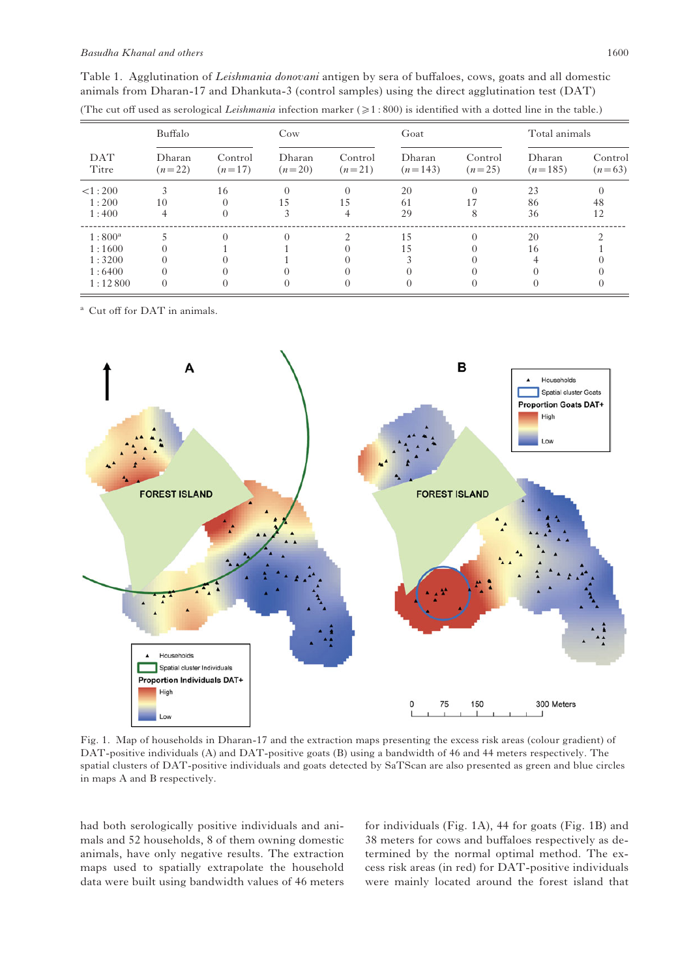| DAT<br>Titre    | Buffalo            |                     | $\cos$             |                     | Goat                |                     | Total animals       |                     |
|-----------------|--------------------|---------------------|--------------------|---------------------|---------------------|---------------------|---------------------|---------------------|
|                 | Dharan<br>$(n=22)$ | Control<br>$(n=17)$ | Dharan<br>$(n=20)$ | Control<br>$(n=21)$ | Dharan<br>$(n=143)$ | Control<br>$(n=25)$ | Dharan<br>$(n=185)$ | Control<br>$(n=63)$ |
| <1:200          |                    | 16                  |                    |                     | 20                  |                     | 23                  |                     |
| 1:200           | 10                 |                     | 15                 | 15                  | 61                  |                     | 86                  | 48                  |
| 1:400           |                    |                     |                    | 4                   | 29                  | 8                   | 36                  | 12                  |
| $1:800^{\rm a}$ |                    |                     |                    |                     | 15                  |                     | 20                  |                     |
| 1:1600          |                    |                     |                    |                     | 15                  |                     | 16                  |                     |
| 1:3200          |                    |                     |                    |                     |                     |                     |                     |                     |
| 1:6400          |                    |                     |                    |                     |                     |                     |                     |                     |
| 1:12800         | 0                  |                     |                    |                     |                     |                     |                     |                     |

Table 1. Agglutination of Leishmania donovani antigen by sera of buffaloes, cows, goats and all domestic animals from Dharan-17 and Dhankuta-3 (control samples) using the direct agglutination test (DAT) (The cut off used as serological Leishmania infection marker  $(21.800)$  is identified with a dotted line in the table.)

Cut off for DAT in animals.



Fig. 1. Map of households in Dharan-17 and the extraction maps presenting the excess risk areas (colour gradient) of DAT-positive individuals (A) and DAT-positive goats (B) using a bandwidth of 46 and 44 meters respectively. The spatial clusters of DAT-positive individuals and goats detected by SaTScan are also presented as green and blue circles in maps A and B respectively.

had both serologically positive individuals and animals and 52 households, 8 of them owning domestic animals, have only negative results. The extraction maps used to spatially extrapolate the household data were built using bandwidth values of 46 meters

for individuals (Fig. 1A), 44 for goats (Fig. 1B) and 38 meters for cows and buffaloes respectively as determined by the normal optimal method. The excess risk areas (in red) for DAT-positive individuals were mainly located around the forest island that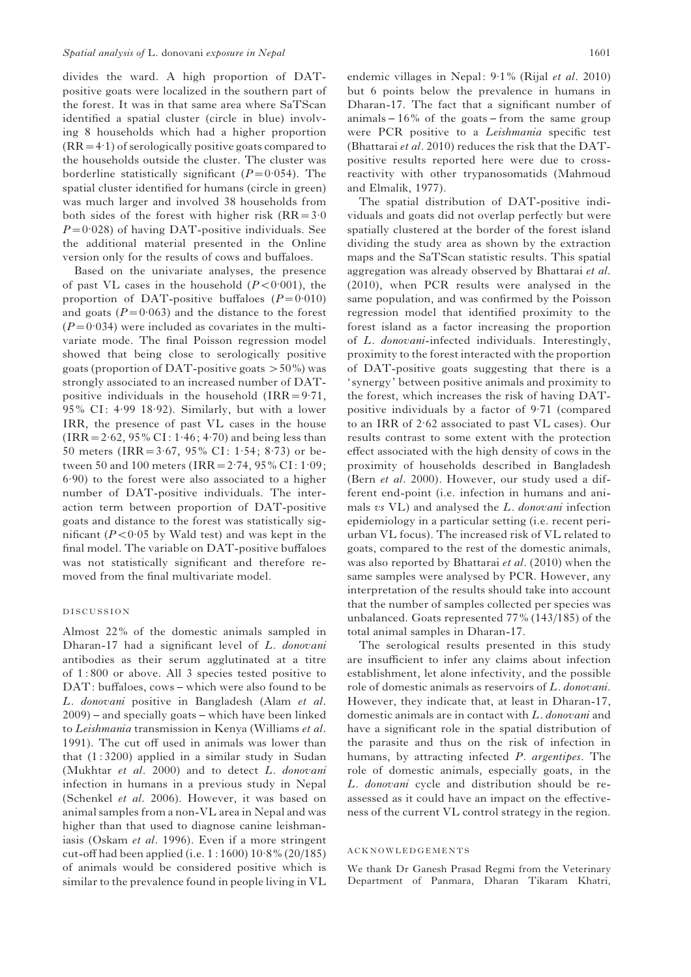divides the ward. A high proportion of DATpositive goats were localized in the southern part of the forest. It was in that same area where SaTScan identified a spatial cluster (circle in blue) involving 8 households which had a higher proportion  $(RR = 4.1)$  of serologically positive goats compared to the households outside the cluster. The cluster was borderline statistically significant  $(P=0.054)$ . The spatial cluster identified for humans (circle in green) was much larger and involved 38 households from both sides of the forest with higher risk  $(RR = 3.0)$  $P=0.028$ ) of having DAT-positive individuals. See the additional material presented in the Online version only for the results of cows and buffaloes.

Based on the univariate analyses, the presence of past VL cases in the household  $(P < 0.001)$ , the proportion of DAT-positive buffaloes  $(P=0.010)$ and goats  $(P=0.063)$  and the distance to the forest  $(P=0.034)$  were included as covariates in the multivariate mode. The final Poisson regression model showed that being close to serologically positive goats (proportion of DAT-positive goats  $>50\%$ ) was strongly associated to an increased number of DATpositive individuals in the household  $\text{(IRR=9.71)}$ , 95% CI: 4.99 18.92). Similarly, but with a lower IRR, the presence of past VL cases in the house  $(IRR = 2.62, 95\% CI: 1.46; 4.70)$  and being less than 50 meters (IRR =  $3.67$ ,  $95\%$  CI: 1.54;  $8.73$ ) or between 50 and 100 meters (IRR =  $2.74$ ,  $95\%$  CI:  $1.09$ ; 6. 90) to the forest were also associated to a higher number of DAT-positive individuals. The interaction term between proportion of DAT-positive goats and distance to the forest was statistically significant ( $P < 0.05$  by Wald test) and was kept in the final model. The variable on DAT-positive buffaloes was not statistically significant and therefore removed from the final multivariate model.

## DISCUSSION

Almost 22% of the domestic animals sampled in Dharan-17 had a significant level of L. donovani antibodies as their serum agglutinated at a titre of 1 : 800 or above. All 3 species tested positive to DAT: buffaloes, cows – which were also found to be L. donovani positive in Bangladesh (Alam et al. 2009) – and specially goats – which have been linked to Leishmania transmission in Kenya (Williams et al. 1991). The cut off used in animals was lower than that  $(1:3200)$  applied in a similar study in Sudan (Mukhtar et al. 2000) and to detect L. donovani infection in humans in a previous study in Nepal (Schenkel et al. 2006). However, it was based on animal samples from a non-VL area in Nepal and was higher than that used to diagnose canine leishmaniasis (Oskam et al. 1996). Even if a more stringent cut-off had been applied (i.e. 1 : 1600) 10. 8% (20/185) of animals would be considered positive which is similar to the prevalence found in people living in VL

endemic villages in Nepal: 9.1% (Rijal et al. 2010) but 6 points below the prevalence in humans in Dharan-17. The fact that a significant number of animals  $-16\%$  of the goats – from the same group were PCR positive to a Leishmania specific test (Bhattarai et al. 2010) reduces the risk that the DATpositive results reported here were due to crossreactivity with other trypanosomatids (Mahmoud and Elmalik, 1977).

The spatial distribution of DAT-positive individuals and goats did not overlap perfectly but were spatially clustered at the border of the forest island dividing the study area as shown by the extraction maps and the SaTScan statistic results. This spatial aggregation was already observed by Bhattarai et al. (2010), when PCR results were analysed in the same population, and was confirmed by the Poisson regression model that identified proximity to the forest island as a factor increasing the proportion of L. donovani-infected individuals. Interestingly, proximity to the forest interacted with the proportion of DAT-positive goats suggesting that there is a ' synergy' between positive animals and proximity to the forest, which increases the risk of having DATpositive individuals by a factor of 9. 71 (compared to an IRR of 2. 62 associated to past VL cases). Our results contrast to some extent with the protection effect associated with the high density of cows in the proximity of households described in Bangladesh (Bern et al. 2000). However, our study used a different end-point (i.e. infection in humans and animals vs VL) and analysed the L. donovani infection epidemiology in a particular setting (i.e. recent periurban VL focus). The increased risk of VL related to goats, compared to the rest of the domestic animals, was also reported by Bhattarai et al. (2010) when the same samples were analysed by PCR. However, any interpretation of the results should take into account that the number of samples collected per species was unbalanced. Goats represented 77% (143/185) of the total animal samples in Dharan-17.

The serological results presented in this study are insufficient to infer any claims about infection establishment, let alone infectivity, and the possible role of domestic animals as reservoirs of L. donovani. However, they indicate that, at least in Dharan-17, domestic animals are in contact with L. donovani and have a significant role in the spatial distribution of the parasite and thus on the risk of infection in humans, by attracting infected P. argentipes. The role of domestic animals, especially goats, in the L. donovani cycle and distribution should be reassessed as it could have an impact on the effectiveness of the current VL control strategy in the region.

#### ACKNOWLEDGEMENTS

We thank Dr Ganesh Prasad Regmi from the Veterinary Department of Panmara, Dharan Tikaram Khatri,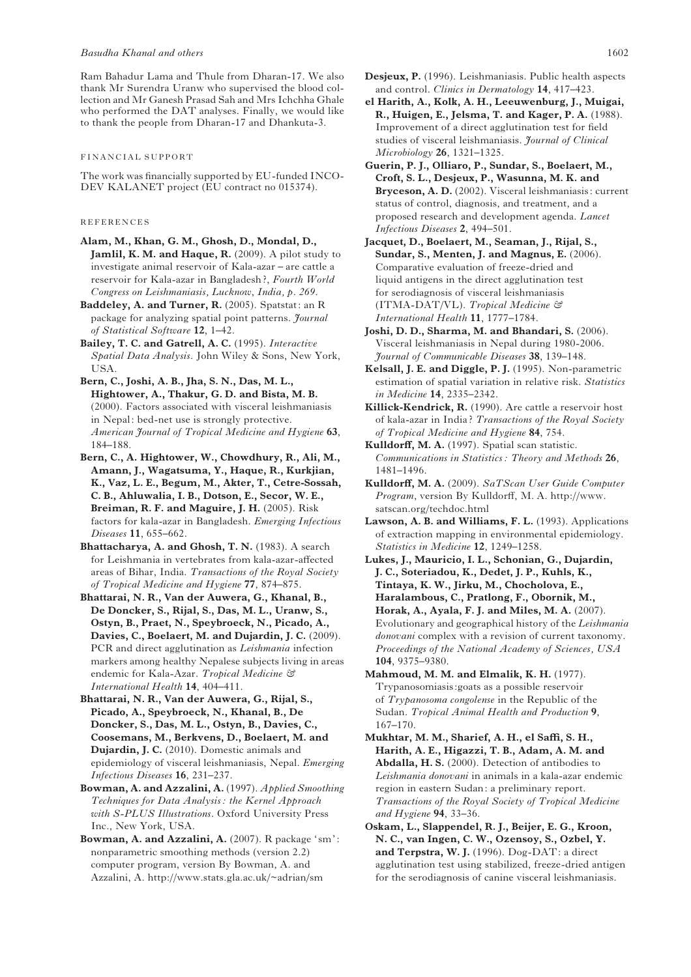Ram Bahadur Lama and Thule from Dharan-17. We also thank Mr Surendra Uranw who supervised the blood collection and Mr Ganesh Prasad Sah and Mrs Ichchha Ghale who performed the DAT analyses. Finally, we would like to thank the people from Dharan-17 and Dhankuta-3.

#### FINANCIAL SUPPORT

The work was financially supported by EU-funded INCO-DEV KALANET project (EU contract no 015374).

## REFERENCES

- Alam, M., Khan, G. M., Ghosh, D., Mondal, D., Jamlil, K. M. and Haque, R. (2009). A pilot study to investigate animal reservoir of Kala-azar – are cattle a reservoir for Kala-azar in Bangladesh ?, Fourth World Congress on Leishmaniasis, Lucknow, India, p. 269.
- Baddeley, A. and Turner, R. (2005). Spatstat: an R package for analyzing spatial point patterns. Journal of Statistical Software 12, 1–42.
- Bailey, T. C. and Gatrell, A. C. (1995). Interactive Spatial Data Analysis. John Wiley & Sons, New York, USA.
- Bern, C., Joshi, A. B., Jha, S. N., Das, M. L., Hightower, A., Thakur, G. D. and Bista, M. B. (2000). Factors associated with visceral leishmaniasis in Nepal: bed-net use is strongly protective. American Journal of Tropical Medicine and Hygiene 63, 184–188.
- Bern, C., A. Hightower, W., Chowdhury, R., Ali, M., Amann, J., Wagatsuma, Y., Haque, R., Kurkjian, K., Vaz, L. E., Begum, M., Akter, T., Cetre-Sossah, C. B., Ahluwalia, I. B., Dotson, E., Secor, W. E., Breiman, R. F. and Maguire, J. H. (2005). Risk factors for kala-azar in Bangladesh. Emerging Infectious Diseases 11, 655–662.
- Bhattacharya, A. and Ghosh, T. N. (1983). A search for Leishmania in vertebrates from kala-azar-affected areas of Bihar, India. Transactions of the Royal Society of Tropical Medicine and Hygiene 77, 874–875.
- Bhattarai, N. R., Van der Auwera, G., Khanal, B., De Doncker, S., Rijal, S., Das, M. L., Uranw, S., Ostyn, B., Praet, N., Speybroeck, N., Picado, A., Davies, C., Boelaert, M. and Dujardin, J. C. (2009). PCR and direct agglutination as Leishmania infection markers among healthy Nepalese subjects living in areas endemic for Kala-Azar. Tropical Medicine & International Health 14, 404–411.
- Bhattarai, N. R., Van der Auwera, G., Rijal, S., Picado, A., Speybroeck, N., Khanal, B., De Doncker, S., Das, M. L., Ostyn, B., Davies, C., Coosemans, M., Berkvens, D., Boelaert, M. and Dujardin, J. C. (2010). Domestic animals and epidemiology of visceral leishmaniasis, Nepal. Emerging Infectious Diseases 16, 231–237.
- Bowman, A. and Azzalini, A. (1997). Applied Smoothing Techniques for Data Analysis: the Kernel Approach with S-PLUS Illustrations. Oxford University Press Inc., New York, USA.
- Bowman, A. and Azzalini, A. (2007). R package 'sm': nonparametric smoothing methods (version 2.2) computer program, version By Bowman, A. and Azzalini, A. http://www.stats.gla.ac.uk/~adrian/sm
- Desjeux, P. (1996). Leishmaniasis. Public health aspects and control. Clinics in Dermatology 14, 417–423.
- el Harith, A., Kolk, A. H., Leeuwenburg, J., Muigai, R., Huigen, E., Jelsma, T. and Kager, P. A. (1988). Improvement of a direct agglutination test for field studies of visceral leishmaniasis. Journal of Clinical Microbiology 26, 1321–1325.
- Guerin, P. J., Olliaro, P., Sundar, S., Boelaert, M., Croft, S. L., Desjeux, P., Wasunna, M. K. and Bryceson, A. D. (2002). Visceral leishmaniasis: current status of control, diagnosis, and treatment, and a proposed research and development agenda. Lancet Infectious Diseases 2, 494–501.
- Jacquet, D., Boelaert, M., Seaman, J., Rijal, S., Sundar, S., Menten, J. and Magnus, E. (2006). Comparative evaluation of freeze-dried and liquid antigens in the direct agglutination test for serodiagnosis of visceral leishmaniasis (ITMA-DAT/VL). Tropical Medicine & International Health 11, 1777–1784.
- Joshi, D. D., Sharma, M. and Bhandari, S. (2006). Visceral leishmaniasis in Nepal during 1980-2006. Journal of Communicable Diseases 38, 139–148.
- Kelsall, J. E. and Diggle, P. J. (1995). Non-parametric estimation of spatial variation in relative risk. Statistics in Medicine 14, 2335–2342.
- Killick-Kendrick, R. (1990). Are cattle a reservoir host of kala-azar in India ? Transactions of the Royal Society of Tropical Medicine and Hygiene 84, 754.
- Kulldorff, M. A. (1997). Spatial scan statistic. Communications in Statistics : Theory and Methods 26, 1481–1496.
- Kulldorff, M. A. (2009). SaTScan User Guide Computer Program, version By Kulldorff, M. A. http://www. satscan.org/techdoc.html
- Lawson, A. B. and Williams, F. L. (1993). Applications of extraction mapping in environmental epidemiology. Statistics in Medicine 12, 1249–1258.
- Lukes, J., Mauricio, I. L., Schonian, G., Dujardin, J. C., Soteriadou, K., Dedet, J. P., Kuhls, K., Tintaya, K. W., Jirku, M., Chocholova, E., Haralambous, C., Pratlong, F., Obornik, M., Horak, A., Ayala, F. J. and Miles, M. A. (2007). Evolutionary and geographical history of the Leishmania donovani complex with a revision of current taxonomy. Proceedings of the National Academy of Sciences, USA 104, 9375–9380.
- Mahmoud, M. M. and Elmalik, K. H. (1977). Trypanosomiasis:goats as a possible reservoir of Trypanosoma congolense in the Republic of the Sudan. Tropical Animal Health and Production 9, 167–170.
- Mukhtar, M. M., Sharief, A. H., el Saffi, S. H., Harith, A. E., Higazzi, T. B., Adam, A. M. and Abdalla, H. S. (2000). Detection of antibodies to Leishmania donovani in animals in a kala-azar endemic region in eastern Sudan: a preliminary report. Transactions of the Royal Society of Tropical Medicine and Hygiene  $94, 33-36$ .
- Oskam, L., Slappendel, R. J., Beijer, E. G., Kroon, N. C., van Ingen, C. W., Ozensoy, S., Ozbel, Y. and Terpstra, W. J. (1996). Dog-DAT: a direct agglutination test using stabilized, freeze-dried antigen for the serodiagnosis of canine visceral leishmaniasis.